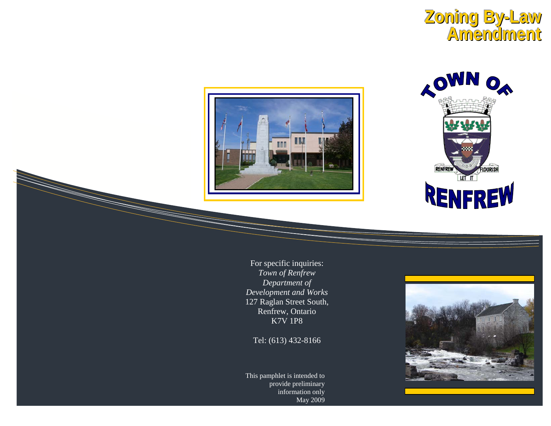





For specific inquiries: *Town of Renfrew Department of Development and Works*  127 Raglan Street South, Renfrew, Ontario K7V 1P8

Tel: (613) 432-8166

This pamphlet is intended to provide preliminary information only May 2009